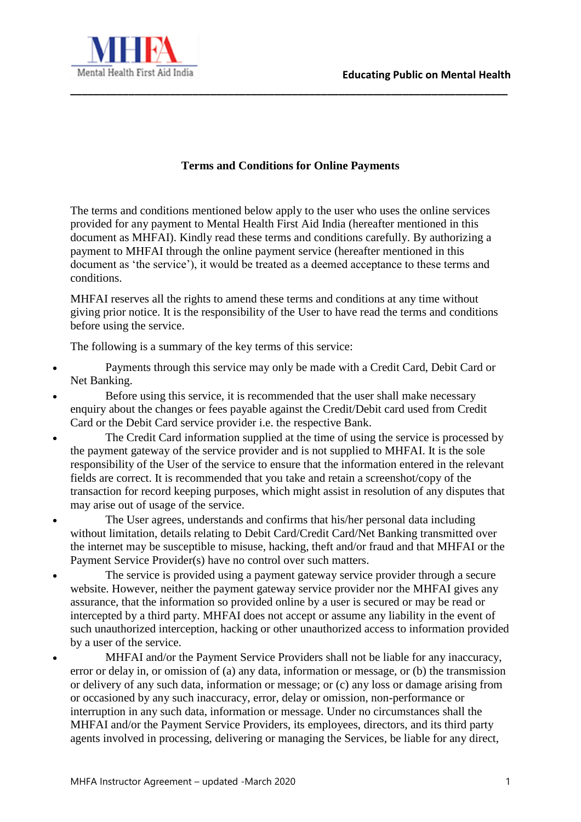

#### **Terms and Conditions for Online Payments**

**\_\_\_\_\_\_\_\_\_\_\_\_\_\_\_\_\_\_\_\_\_\_\_\_\_\_\_\_\_\_\_\_\_\_\_\_\_\_\_\_\_\_\_\_\_\_\_\_\_\_\_\_\_\_\_\_\_\_\_\_\_\_\_\_\_\_\_\_\_\_\_\_\_\_\_**

The terms and conditions mentioned below apply to the user who uses the online services provided for any payment to Mental Health First Aid India (hereafter mentioned in this document as MHFAI). Kindly read these terms and conditions carefully. By authorizing a payment to MHFAI through the online payment service (hereafter mentioned in this document as 'the service'), it would be treated as a deemed acceptance to these terms and conditions.

MHFAI reserves all the rights to amend these terms and conditions at any time without giving prior notice. It is the responsibility of the User to have read the terms and conditions before using the service.

The following is a summary of the key terms of this service:

- Payments through this service may only be made with a Credit Card, Debit Card or Net Banking.
- Before using this service, it is recommended that the user shall make necessary enquiry about the changes or fees payable against the Credit/Debit card used from Credit Card or the Debit Card service provider i.e. the respective Bank.
- The Credit Card information supplied at the time of using the service is processed by the payment gateway of the service provider and is not supplied to MHFAI. It is the sole responsibility of the User of the service to ensure that the information entered in the relevant fields are correct. It is recommended that you take and retain a screenshot/copy of the transaction for record keeping purposes, which might assist in resolution of any disputes that may arise out of usage of the service.
- The User agrees, understands and confirms that his/her personal data including without limitation, details relating to Debit Card/Credit Card/Net Banking transmitted over the internet may be susceptible to misuse, hacking, theft and/or fraud and that MHFAI or the Payment Service Provider(s) have no control over such matters.
- The service is provided using a payment gateway service provider through a secure website. However, neither the payment gateway service provider nor the MHFAI gives any assurance, that the information so provided online by a user is secured or may be read or intercepted by a third party. MHFAI does not accept or assume any liability in the event of such unauthorized interception, hacking or other unauthorized access to information provided by a user of the service.
- MHFAI and/or the Payment Service Providers shall not be liable for any inaccuracy, error or delay in, or omission of (a) any data, information or message, or (b) the transmission or delivery of any such data, information or message; or (c) any loss or damage arising from or occasioned by any such inaccuracy, error, delay or omission, non-performance or interruption in any such data, information or message. Under no circumstances shall the MHFAI and/or the Payment Service Providers, its employees, directors, and its third party agents involved in processing, delivering or managing the Services, be liable for any direct,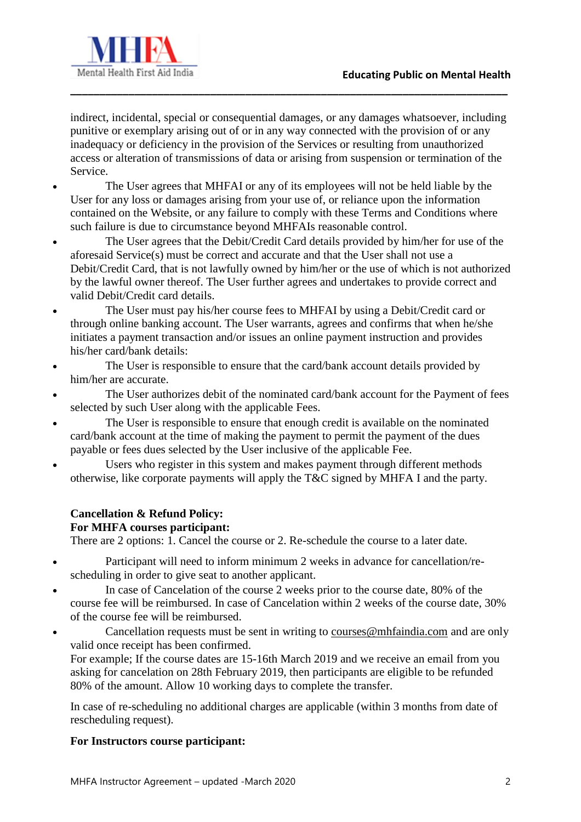

indirect, incidental, special or consequential damages, or any damages whatsoever, including punitive or exemplary arising out of or in any way connected with the provision of or any inadequacy or deficiency in the provision of the Services or resulting from unauthorized access or alteration of transmissions of data or arising from suspension or termination of the Service.

**\_\_\_\_\_\_\_\_\_\_\_\_\_\_\_\_\_\_\_\_\_\_\_\_\_\_\_\_\_\_\_\_\_\_\_\_\_\_\_\_\_\_\_\_\_\_\_\_\_\_\_\_\_\_\_\_\_\_\_\_\_\_\_\_\_\_\_\_\_\_\_\_\_\_\_**

- The User agrees that MHFAI or any of its employees will not be held liable by the User for any loss or damages arising from your use of, or reliance upon the information contained on the Website, or any failure to comply with these Terms and Conditions where such failure is due to circumstance beyond MHFAIs reasonable control.
- The User agrees that the Debit/Credit Card details provided by him/her for use of the aforesaid Service(s) must be correct and accurate and that the User shall not use a Debit/Credit Card, that is not lawfully owned by him/her or the use of which is not authorized by the lawful owner thereof. The User further agrees and undertakes to provide correct and valid Debit/Credit card details.
- The User must pay his/her course fees to MHFAI by using a Debit/Credit card or through online banking account. The User warrants, agrees and confirms that when he/she initiates a payment transaction and/or issues an online payment instruction and provides his/her card/bank details:
- The User is responsible to ensure that the card/bank account details provided by him/her are accurate.
- The User authorizes debit of the nominated card/bank account for the Payment of fees selected by such User along with the applicable Fees.
- The User is responsible to ensure that enough credit is available on the nominated card/bank account at the time of making the payment to permit the payment of the dues payable or fees dues selected by the User inclusive of the applicable Fee.
- Users who register in this system and makes payment through different methods otherwise, like corporate payments will apply the T&C signed by MHFA I and the party.

# **Cancellation & Refund Policy:**

## **For MHFA courses participant:**

There are 2 options: 1. Cancel the course or 2. Re-schedule the course to a later date.

- Participant will need to inform minimum 2 weeks in advance for cancellation/rescheduling in order to give seat to another applicant.
- In case of Cancelation of the course 2 weeks prior to the course date, 80% of the course fee will be reimbursed. In case of Cancelation within 2 weeks of the course date, 30% of the course fee will be reimbursed.
- Cancellation requests must be sent in writing to [courses@mhfaindia.com](mailto:courses@mhfaindia.com) and are only valid once receipt has been confirmed.

For example; If the course dates are 15-16th March 2019 and we receive an email from you asking for cancelation on 28th February 2019, then participants are eligible to be refunded 80% of the amount. Allow 10 working days to complete the transfer.

In case of re-scheduling no additional charges are applicable (within 3 months from date of rescheduling request).

### **For Instructors course participant:**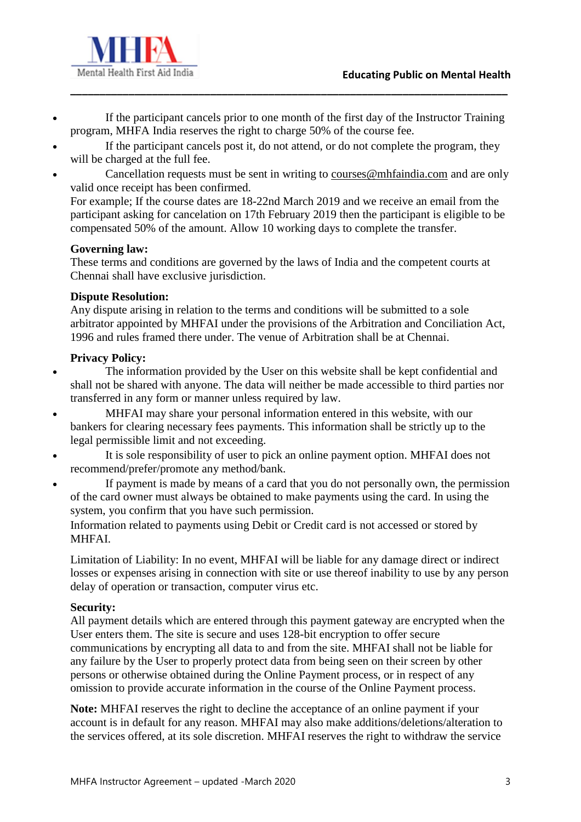



 If the participant cancels prior to one month of the first day of the Instructor Training program, MHFA India reserves the right to charge 50% of the course fee.

**\_\_\_\_\_\_\_\_\_\_\_\_\_\_\_\_\_\_\_\_\_\_\_\_\_\_\_\_\_\_\_\_\_\_\_\_\_\_\_\_\_\_\_\_\_\_\_\_\_\_\_\_\_\_\_\_\_\_\_\_\_\_\_\_\_\_\_\_\_\_\_\_\_\_\_**

- If the participant cancels post it, do not attend, or do not complete the program, they will be charged at the full fee.
- Cancellation requests must be sent in writing to [courses@mhfaindia.com](mailto:courses@mhfaindia.com) and are only valid once receipt has been confirmed.

For example; If the course dates are 18-22nd March 2019 and we receive an email from the participant asking for cancelation on 17th February 2019 then the participant is eligible to be compensated 50% of the amount. Allow 10 working days to complete the transfer.

#### **Governing law:**

These terms and conditions are governed by the laws of India and the competent courts at Chennai shall have exclusive jurisdiction.

### **Dispute Resolution:**

Any dispute arising in relation to the terms and conditions will be submitted to a sole arbitrator appointed by MHFAI under the provisions of the Arbitration and Conciliation Act, 1996 and rules framed there under. The venue of Arbitration shall be at Chennai.

### **Privacy Policy:**

- The information provided by the User on this website shall be kept confidential and shall not be shared with anyone. The data will neither be made accessible to third parties nor transferred in any form or manner unless required by law.
- MHFAI may share your personal information entered in this website, with our bankers for clearing necessary fees payments. This information shall be strictly up to the legal permissible limit and not exceeding.
- It is sole responsibility of user to pick an online payment option. MHFAI does not recommend/prefer/promote any method/bank.
- If payment is made by means of a card that you do not personally own, the permission of the card owner must always be obtained to make payments using the card. In using the system, you confirm that you have such permission.

Information related to payments using Debit or Credit card is not accessed or stored by MHFAI.

Limitation of Liability: In no event, MHFAI will be liable for any damage direct or indirect losses or expenses arising in connection with site or use thereof inability to use by any person delay of operation or transaction, computer virus etc.

#### **Security:**

All payment details which are entered through this payment gateway are encrypted when the User enters them. The site is secure and uses 128-bit encryption to offer secure communications by encrypting all data to and from the site. MHFAI shall not be liable for any failure by the User to properly protect data from being seen on their screen by other persons or otherwise obtained during the Online Payment process, or in respect of any omission to provide accurate information in the course of the Online Payment process.

**Note:** MHFAI reserves the right to decline the acceptance of an online payment if your account is in default for any reason. MHFAI may also make additions/deletions/alteration to the services offered, at its sole discretion. MHFAI reserves the right to withdraw the service